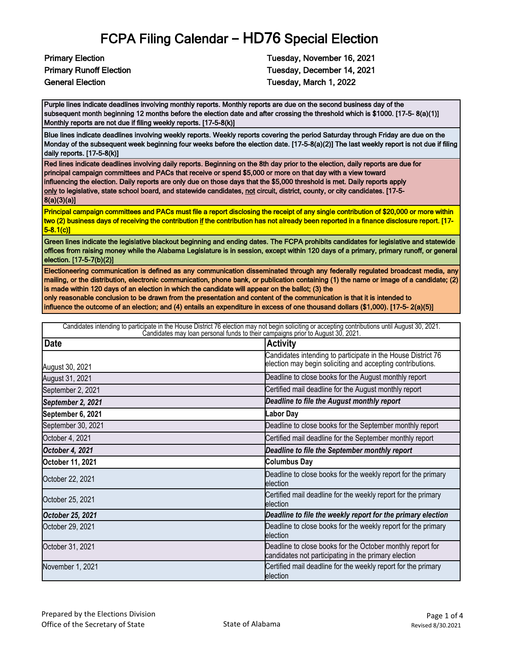Primary Election Tuesday, November 16, 2021 Primary Runoff Election Tuesday, December 14, 2021 General Election Tuesday, March 1, 2022

Purple lines indicate deadlines involving monthly reports. Monthly reports are due on the second business day of the subsequent month beginning 12 months before the election date and after crossing the threshold which is \$1000. [17-5- 8(a)(1)] Monthly reports are not due if filing weekly reports. [17-5-8(k)]

Blue lines indicate deadlines involving weekly reports. Weekly reports covering the period Saturday through Friday are due on the Monday of the subsequent week beginning four weeks before the election date. [17-5-8(a)(2)] The last weekly report is not due if filing daily reports. [17-5-8(k)]

Red lines indicate deadlines involving daily reports. Beginning on the 8th day prior to the election, daily reports are due for principal campaign committees and PACs that receive or spend \$5,000 or more on that day with a view toward influencing the election. Daily reports are only due on those days that the \$5,000 threshold is met. Daily reports apply only to legislative, state school board, and statewide candidates, not circuit, district, county, or city candidates. [17-5-8(a)(3)(a)]

Principal campaign committees and PACs must file a report disclosing the receipt of any single contribution of \$20,000 or more within two (2) business days of receiving the contribution if the contribution has not already been reported in a finance disclosure report. [17- 5-8.1(c)]

Green lines indicate the legislative blackout beginning and ending dates. The FCPA prohibits candidates for legislative and statewide offices from raising money while the Alabama Legislature is in session, except within 120 days of a primary, primary runoff, or general election. [17-5-7(b)(2)]

Electioneering communication is defined as any communication disseminated through any federally regulated broadcast media, any mailing, or the distribution, electronic communication, phone bank, or publication containing (1) the name or image of a candidate; (2) is made within 120 days of an election in which the candidate will appear on the ballot; (3) the

only reasonable conclusion to be drawn from the presentation and content of the communication is that it is intended to

influence the outcome of an election; and (4) entails an expenditure in excess of one thousand dollars (\$1,000). [17-5- 2(a)(5)]

| Candidates intending to participate in the House District 76 election may not begin soliciting or accepting contributions until August 30, 2021.<br>Candidates may loan personal funds to their campaigns prior to August 30, 202 |                                                                                                                            |  |
|-----------------------------------------------------------------------------------------------------------------------------------------------------------------------------------------------------------------------------------|----------------------------------------------------------------------------------------------------------------------------|--|
| <b>Date</b>                                                                                                                                                                                                                       | <b>Activity</b>                                                                                                            |  |
| August 30, 2021                                                                                                                                                                                                                   | Candidates intending to participate in the House District 76<br>election may begin soliciting and accepting contributions. |  |
| August 31, 2021                                                                                                                                                                                                                   | Deadline to close books for the August monthly report                                                                      |  |
| September 2, 2021                                                                                                                                                                                                                 | Certified mail deadline for the August monthly report                                                                      |  |
| September 2, 2021                                                                                                                                                                                                                 | Deadline to file the August monthly report                                                                                 |  |
| September 6, 2021                                                                                                                                                                                                                 | Labor Day                                                                                                                  |  |
| September 30, 2021                                                                                                                                                                                                                | Deadline to close books for the September monthly report                                                                   |  |
| October 4, 2021                                                                                                                                                                                                                   | Certified mail deadline for the September monthly report                                                                   |  |
| October 4, 2021                                                                                                                                                                                                                   | Deadline to file the September monthly report                                                                              |  |
| October 11, 2021                                                                                                                                                                                                                  | <b>Columbus Day</b>                                                                                                        |  |
| October 22, 2021                                                                                                                                                                                                                  | Deadline to close books for the weekly report for the primary<br>election                                                  |  |
| October 25, 2021                                                                                                                                                                                                                  | Certified mail deadline for the weekly report for the primary<br>election                                                  |  |
| October 25, 2021                                                                                                                                                                                                                  | Deadline to file the weekly report for the primary election                                                                |  |
| October 29, 2021                                                                                                                                                                                                                  | Deadline to close books for the weekly report for the primary<br>election                                                  |  |
| October 31, 2021                                                                                                                                                                                                                  | Deadline to close books for the October monthly report for<br>candidates not participating in the primary election         |  |
| November 1, 2021                                                                                                                                                                                                                  | Certified mail deadline for the weekly report for the primary<br><b>election</b>                                           |  |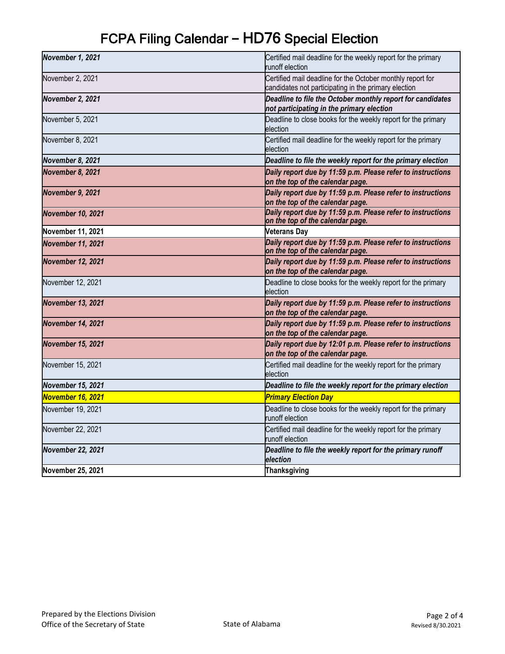| November 1, 2021         | Certified mail deadline for the weekly report for the primary<br>runoff election                                   |
|--------------------------|--------------------------------------------------------------------------------------------------------------------|
| November 2, 2021         | Certified mail deadline for the October monthly report for<br>candidates not participating in the primary election |
| November 2, 2021         | Deadline to file the October monthly report for candidates<br>not participating in the primary election            |
| November 5, 2021         | Deadline to close books for the weekly report for the primary<br>election                                          |
| November 8, 2021         | Certified mail deadline for the weekly report for the primary<br>election                                          |
| November 8, 2021         | Deadline to file the weekly report for the primary election                                                        |
| November 8, 2021         | Daily report due by 11:59 p.m. Please refer to instructions<br>on the top of the calendar page.                    |
| November 9, 2021         | Daily report due by 11:59 p.m. Please refer to instructions<br>on the top of the calendar page.                    |
| <b>November 10, 2021</b> | Daily report due by 11:59 p.m. Please refer to instructions<br>on the top of the calendar page.                    |
| November 11, 2021        | <b>Veterans Day</b>                                                                                                |
| <b>November 11, 2021</b> | Daily report due by 11:59 p.m. Please refer to instructions<br>on the top of the calendar page.                    |
| <b>November 12, 2021</b> | Daily report due by 11:59 p.m. Please refer to instructions<br>on the top of the calendar page.                    |
| November 12, 2021        | Deadline to close books for the weekly report for the primary<br>election                                          |
| <b>November 13, 2021</b> | Daily report due by 11:59 p.m. Please refer to instructions<br>on the top of the calendar page.                    |
| <b>November 14, 2021</b> | Daily report due by 11:59 p.m. Please refer to instructions<br>on the top of the calendar page.                    |
| <b>November 15, 2021</b> | Daily report due by 12:01 p.m. Please refer to instructions<br>on the top of the calendar page.                    |
| November 15, 2021        | Certified mail deadline for the weekly report for the primary<br>election                                          |
| November 15, 2021        | Deadline to file the weekly report for the primary election                                                        |
| November 16, 2021        | <b>Primary Election Day</b>                                                                                        |
| November 19, 2021        | Deadline to close books for the weekly report for the primary<br>runoff election                                   |
| November 22, 2021        | Certified mail deadline for the weekly report for the primary<br>runoff election                                   |
| <b>November 22, 2021</b> | Deadline to file the weekly report for the primary runoff<br>election                                              |
| November 25, 2021        | <b>Thanksgiving</b>                                                                                                |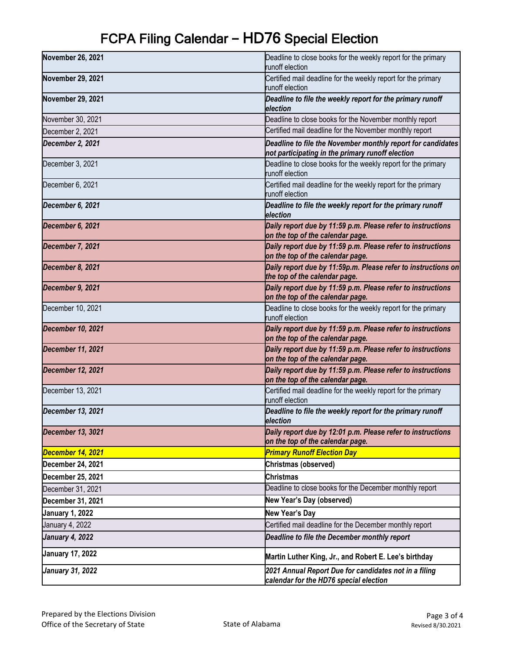| November 26, 2021        | Deadline to close books for the weekly report for the primary<br>runoff election                                |
|--------------------------|-----------------------------------------------------------------------------------------------------------------|
| <b>November 29, 2021</b> | Certified mail deadline for the weekly report for the primary<br>runoff election                                |
| November 29, 2021        | Deadline to file the weekly report for the primary runoff<br>election                                           |
| November 30, 2021        | Deadline to close books for the November monthly report                                                         |
| December 2, 2021         | Certified mail deadline for the November monthly report                                                         |
| December 2, 2021         | Deadline to file the November monthly report for candidates<br>not participating in the primary runoff election |
| December 3, 2021         | Deadline to close books for the weekly report for the primary<br>runoff election                                |
| December 6, 2021         | Certified mail deadline for the weekly report for the primary<br>runoff election                                |
| December 6, 2021         | Deadline to file the weekly report for the primary runoff<br>election                                           |
| December 6, 2021         | Daily report due by 11:59 p.m. Please refer to instructions<br>on the top of the calendar page.                 |
| December 7, 2021         | Daily report due by 11:59 p.m. Please refer to instructions<br>on the top of the calendar page.                 |
| December 8, 2021         | Daily report due by 11:59p.m. Please refer to instructions on<br>the top of the calendar page.                  |
| December 9, 2021         | Daily report due by 11:59 p.m. Please refer to instructions<br>on the top of the calendar page.                 |
| December 10, 2021        | Deadline to close books for the weekly report for the primary<br>runoff election                                |
| December 10, 2021        | Daily report due by 11:59 p.m. Please refer to instructions<br>on the top of the calendar page.                 |
| <b>December 11, 2021</b> | Daily report due by 11:59 p.m. Please refer to instructions<br>on the top of the calendar page.                 |
| <b>December 12, 2021</b> | Daily report due by 11:59 p.m. Please refer to instructions<br>on the top of the calendar page.                 |
| December 13, 2021        | Certified mail deadline for the weekly report for the primary<br>runoff election                                |
| December 13, 2021        | Deadline to file the weekly report for the primary runoff<br>election                                           |
| December 13, 3021        | Daily report due by 12:01 p.m. Please refer to instructions<br>on the top of the calendar page.                 |
| December 14, 2021        | <b>Primary Runoff Election Day</b>                                                                              |
| December 24, 2021        | Christmas (observed)                                                                                            |
| <b>December 25, 2021</b> | <b>Christmas</b>                                                                                                |
| December 31, 2021        | Deadline to close books for the December monthly report                                                         |
| December 31, 2021        | New Year's Day (observed)                                                                                       |
| <b>January 1, 2022</b>   | New Year's Day                                                                                                  |
| January 4, 2022          | Certified mail deadline for the December monthly report                                                         |
| <b>January 4, 2022</b>   | Deadline to file the December monthly report                                                                    |
| <b>January 17, 2022</b>  | Martin Luther King, Jr., and Robert E. Lee's birthday                                                           |
| <b>January 31, 2022</b>  | 2021 Annual Report Due for candidates not in a filing<br>calendar for the HD76 special election                 |